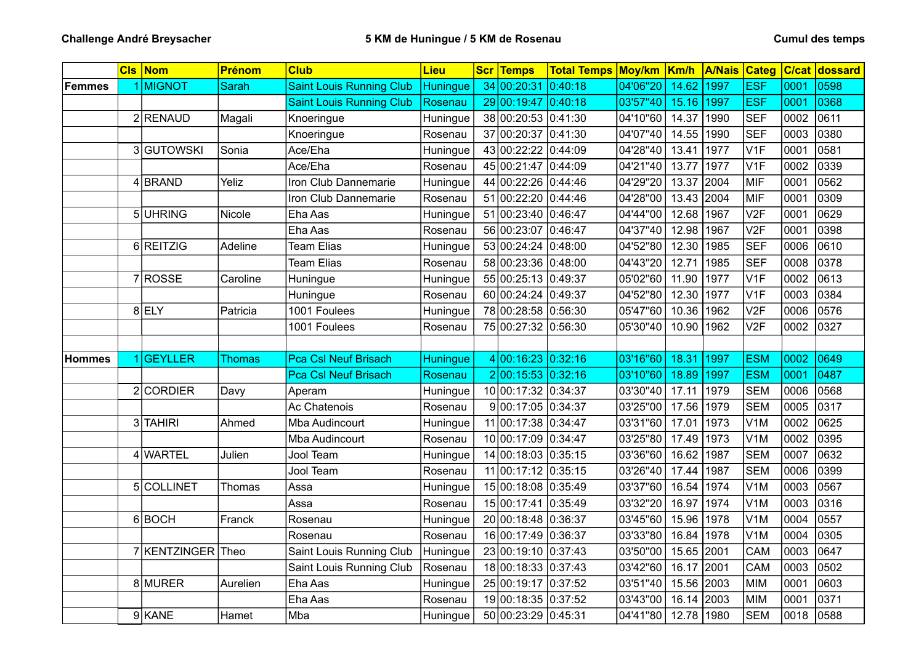|               | <b>CIs Nom</b>      | <b>Prénom</b> | <b>Club</b>                     | <b>Lieu</b>     | <b>Scr Temps</b>    | <b>Total Temps Moy/km Km/h</b> |          |            | <b>A/Nais Categ</b> |                  |      | C/cat dossard |
|---------------|---------------------|---------------|---------------------------------|-----------------|---------------------|--------------------------------|----------|------------|---------------------|------------------|------|---------------|
| <b>Femmes</b> | 1 MIGNOT            | <b>Sarah</b>  | <b>Saint Louis Running Club</b> | Huningue        | 34 00:20:31         | 0:40:18                        | 04'06"20 | 14.62      | 1997                | <b>ESF</b>       | 0001 | 0598          |
|               |                     |               | <b>Saint Louis Running Club</b> | Rosenau         | 29 00:19:47 0:40:18 |                                | 03'57"40 | 15.16      | 1997                | <b>ESF</b>       | 0001 | 0368          |
|               | 2RENAUD             | Magali        | Knoeringue                      | Huningue        | 38 00:20:53 0:41:30 |                                | 04'10"60 | 14.37      | 1990                | <b>SEF</b>       | 0002 | 0611          |
|               |                     |               | Knoeringue                      | Rosenau         | 37 00:20:37 0:41:30 |                                | 04'07"40 | 14.55      | 1990                | <b>SEF</b>       | 0003 | 0380          |
|               | 3 GUTOWSKI          | Sonia         | Ace/Eha                         | Huningue        | 43 00:22:22 0:44:09 |                                | 04'28"40 | 13.41      | 1977                | V <sub>1F</sub>  | 0001 | 0581          |
|               |                     |               | Ace/Eha                         | Rosenau         | 45 00:21:47 0:44:09 |                                | 04'21"40 | 13.77      | 1977                | V <sub>1F</sub>  | 0002 | 0339          |
|               | $4$ BRAND           | Yeliz         | Iron Club Dannemarie            | Huningue        | 44 00:22:26 0:44:46 |                                | 04'29"20 | 13.37      | 2004                | MIF              | 0001 | 0562          |
|               |                     |               | Iron Club Dannemarie            | Rosenau         | 51 00:22:20 0:44:46 |                                | 04'28"00 | 13.43 2004 |                     | MIF              | 0001 | 0309          |
|               | 5UHRING             | Nicole        | Eha Aas                         | Huningue        | 51 00:23:40 0:46:47 |                                | 04'44"00 | 12.68      | 1967                | V <sub>2F</sub>  | 0001 | 0629          |
|               |                     |               | Eha Aas                         | Rosenau         | 56 00:23:07 0:46:47 |                                | 04'37"40 | 12.98      | 1967                | V <sub>2F</sub>  | 0001 | 0398          |
|               | 6 REITZIG           | Adeline       | <b>Team Elias</b>               | Huningue        | 53 00:24:24 0:48:00 |                                | 04'52"80 | 12.30      | 1985                | <b>SEF</b>       | 0006 | 0610          |
|               |                     |               | <b>Team Elias</b>               | Rosenau         | 58 00:23:36 0:48:00 |                                | 04'43"20 | 12.71      | 1985                | <b>SEF</b>       | 0008 | 0378          |
|               | 7 ROSSE             | Caroline      | Huningue                        | Huningue        | 55 00:25:13 0:49:37 |                                | 05'02"60 | 11.90      | 1977                | V1F              | 0002 | 0613          |
|               |                     |               | Huningue                        | Rosenau         | 60 00:24:24 0:49:37 |                                | 04'52"80 | 12.30      | 1977                | V <sub>1F</sub>  | 0003 | 0384          |
|               | 8 ELY               | Patricia      | 1001 Foulees                    | Huningue        | 78 00:28:58 0:56:30 |                                | 05'47"60 | 10.36      | 1962                | V <sub>2F</sub>  | 0006 | 0576          |
|               |                     |               | 1001 Foulees                    | Rosenau         | 75 00:27:32 0:56:30 |                                | 05'30"40 | 10.90      | 1962                | V <sub>2F</sub>  | 0002 | 0327          |
|               |                     |               |                                 |                 |                     |                                |          |            |                     |                  |      |               |
| <b>Hommes</b> | 1 GEYLLER           | <b>Thomas</b> | <b>Pca Csl Neuf Brisach</b>     | <b>Huningue</b> | 4 00:16:23 0:32:16  |                                | 03'16"60 | 18.31      | 1997                | <b>ESM</b>       | 0002 | 0649          |
|               |                     |               | <b>Pca Csl Neuf Brisach</b>     | Rosenau         | 200:15:53 0:32:16   |                                | 03'10"60 | 18.89      | 1997                | <b>ESM</b>       | 0001 | 0487          |
|               | 2 CORDIER           | Davy          | Aperam                          | Huningue        | 10 00:17:32 0:34:37 |                                | 03'30"40 | 17.11      | 1979                | <b>SEM</b>       | 0006 | 0568          |
|               |                     |               | Ac Chatenois                    | Rosenau         | 900:17:05 0:34:37   |                                | 03'25"00 | 17.56      | 1979                | <b>SEM</b>       | 0005 | 0317          |
|               | 3 <sup>TAHIRI</sup> | Ahmed         | Mba Audincourt                  | Huningue        | 11 00:17:38 0:34:47 |                                | 03'31"60 | 17.01      | 1973                | V <sub>1</sub> M | 0002 | 0625          |
|               |                     |               | Mba Audincourt                  | Rosenau         | 10 00:17:09 0:34:47 |                                | 03'25"80 | 17.49      | 1973                | V1M              | 0002 | 0395          |
|               | 4 WARTEL            | Julien        | Jool Team                       | Huningue        | 14 00:18:03 0:35:15 |                                | 03'36"60 | 16.62 1987 |                     | <b>SEM</b>       | 0007 | 0632          |
|               |                     |               | Jool Team                       | Rosenau         | 11 00:17:12 0:35:15 |                                | 03'26"40 | 17.44      | 1987                | <b>SEM</b>       | 0006 | 0399          |
|               | 5COLLINET           | Thomas        | Assa                            | Huningue        | 15 00:18:08 0:35:49 |                                | 03'37"60 | 16.54      | 1974                | V <sub>1</sub> M | 0003 | 0567          |
|               |                     |               | Assa                            | Rosenau         | 15 00:17:41 0:35:49 |                                | 03'32"20 | 16.97 1974 |                     | V <sub>1</sub> M | 0003 | 0316          |
|               | 6 BOCH              | Franck        | Rosenau                         | Huningue        | 20 00:18:48 0:36:37 |                                | 03'45"60 | 15.96      | 1978                | V <sub>1</sub> M | 0004 | 0557          |
|               |                     |               | Rosenau                         | Rosenau         | 16 00:17:49 0:36:37 |                                | 03'33"80 | 16.84      | 1978                | V <sub>1</sub> M | 0004 | 0305          |
|               | 7 KENTZINGER Theo   |               | Saint Louis Running Club        | Huningue        | 23 00:19:10 0:37:43 |                                | 03'50"00 | 15.65 2001 |                     | CAM              | 0003 | 0647          |
|               |                     |               | Saint Louis Running Club        | Rosenau         | 18 00:18:33 0:37:43 |                                | 03'42"60 | 16.17      | 2001                | CAM              | 0003 | 0502          |
|               | 8 MURER             | Aurelien      | Eha Aas                         | Huningue        | 25 00:19:17 0:37:52 |                                | 03'51"40 | 15.56      | 2003                | <b>MIM</b>       | 0001 | 0603          |
|               |                     |               | Eha Aas                         | Rosenau         | 19 00:18:35 0:37:52 |                                | 03'43"00 | 16.14 2003 |                     | <b>MIM</b>       | 0001 | 0371          |
|               | 9KANE               | Hamet         | Mba                             | Huningue        | 50 00:23:29 0:45:31 |                                | 04'41"80 | 12.78 1980 |                     | <b>SEM</b>       | 0018 | 0588          |